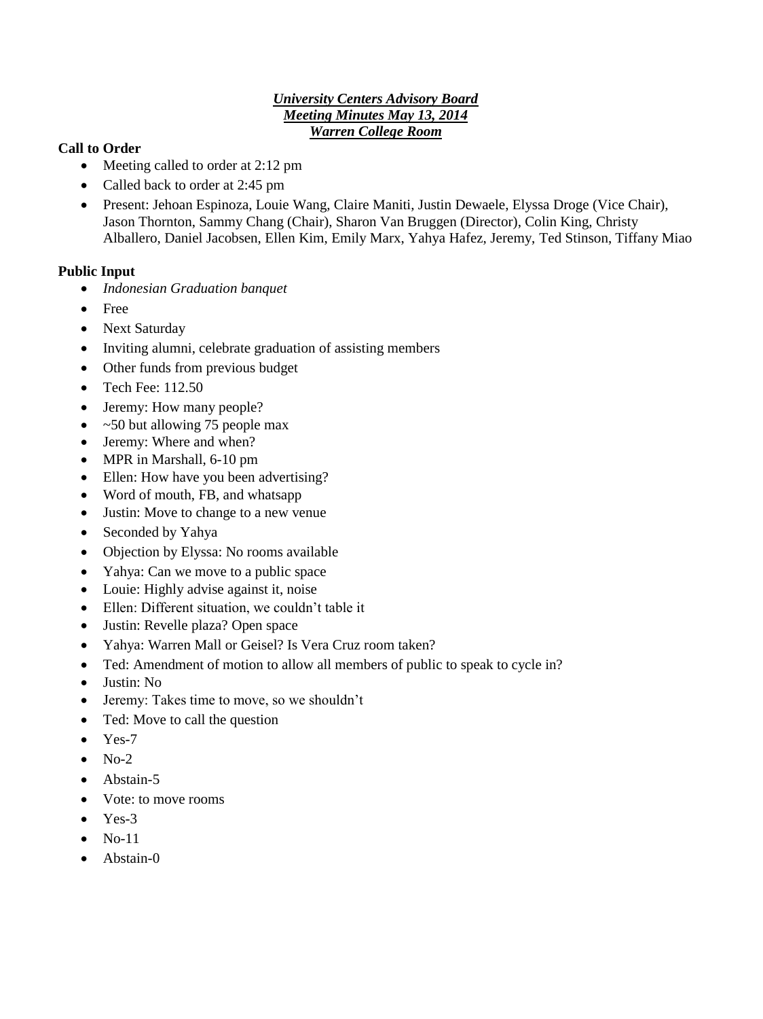#### *University Centers Advisory Board Meeting Minutes May 13, 2014 Warren College Room*

### **Call to Order**

- Meeting called to order at 2:12 pm
- Called back to order at 2:45 pm
- Present: Jehoan Espinoza, Louie Wang, Claire Maniti, Justin Dewaele, Elyssa Droge (Vice Chair), Jason Thornton, Sammy Chang (Chair), Sharon Van Bruggen (Director), Colin King, Christy Alballero, Daniel Jacobsen, Ellen Kim, Emily Marx, Yahya Hafez, Jeremy, Ted Stinson, Tiffany Miao

### **Public Input**

- *Indonesian Graduation banquet*
- Free
- Next Saturday
- Inviting alumni, celebrate graduation of assisting members
- Other funds from previous budget
- $\bullet$  Tech Fee: 112.50
- Jeremy: How many people?
- $\bullet$  ~50 but allowing 75 people max
- Jeremy: Where and when?
- MPR in Marshall, 6-10 pm
- Ellen: How have you been advertising?
- Word of mouth, FB, and whatsapp
- Justin: Move to change to a new venue
- Seconded by Yahya
- Objection by Elyssa: No rooms available
- Yahya: Can we move to a public space
- Louie: Highly advise against it, noise
- Ellen: Different situation, we couldn't table it
- Justin: Revelle plaza? Open space
- Yahya: Warren Mall or Geisel? Is Vera Cruz room taken?
- Ted: Amendment of motion to allow all members of public to speak to cycle in?
- Justin: No
- Jeremy: Takes time to move, so we shouldn't
- Ted: Move to call the question
- $\bullet$  Yes-7
- $\bullet$  No-2
- Abstain-5
- Vote: to move rooms
- $\bullet$  Yes-3
- $\bullet$  No-11
- Abstain-0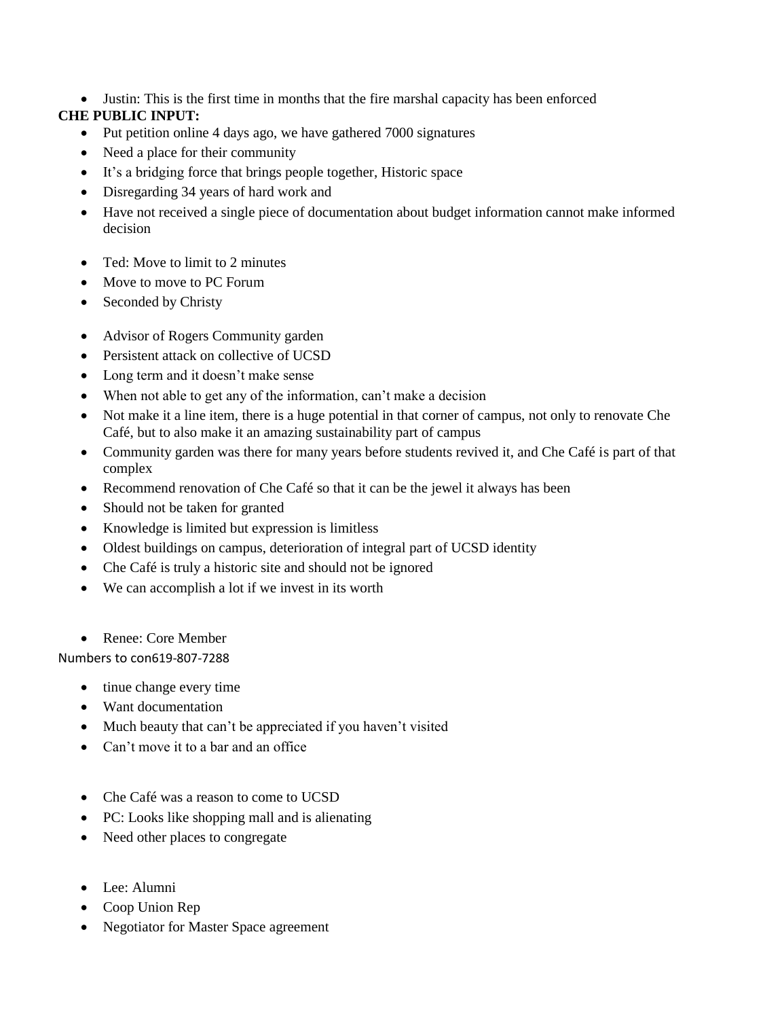Justin: This is the first time in months that the fire marshal capacity has been enforced

# **CHE PUBLIC INPUT:**

- Put petition online 4 days ago, we have gathered 7000 signatures
- Need a place for their community
- It's a bridging force that brings people together, Historic space
- Disregarding 34 years of hard work and
- Have not received a single piece of documentation about budget information cannot make informed decision
- Ted: Move to limit to 2 minutes
- Move to move to PC Forum
- Seconded by Christy
- Advisor of Rogers Community garden
- Persistent attack on collective of UCSD
- Long term and it doesn't make sense
- When not able to get any of the information, can't make a decision
- Not make it a line item, there is a huge potential in that corner of campus, not only to renovate Che Café, but to also make it an amazing sustainability part of campus
- Community garden was there for many years before students revived it, and Che Café is part of that complex
- Recommend renovation of Che Café so that it can be the jewel it always has been
- Should not be taken for granted
- Knowledge is limited but expression is limitless
- Oldest buildings on campus, deterioration of integral part of UCSD identity
- Che Café is truly a historic site and should not be ignored
- We can accomplish a lot if we invest in its worth
- Renee: Core Member

Numbers to con619-807-7288

- tinue change every time
- Want documentation
- Much beauty that can't be appreciated if you haven't visited
- Can't move it to a bar and an office
- Che Café was a reason to come to UCSD
- PC: Looks like shopping mall and is alienating
- Need other places to congregate
- Lee: Alumni
- Coop Union Rep
- Negotiator for Master Space agreement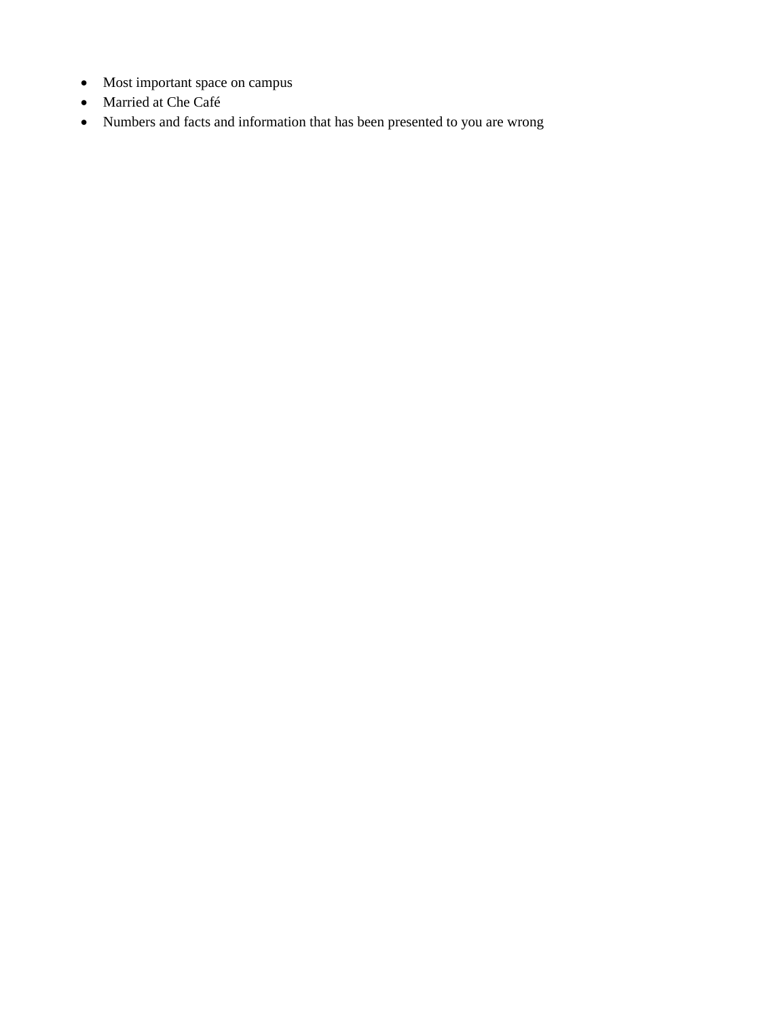- Most important space on campus
- Married at Che Café
- Numbers and facts and information that has been presented to you are wrong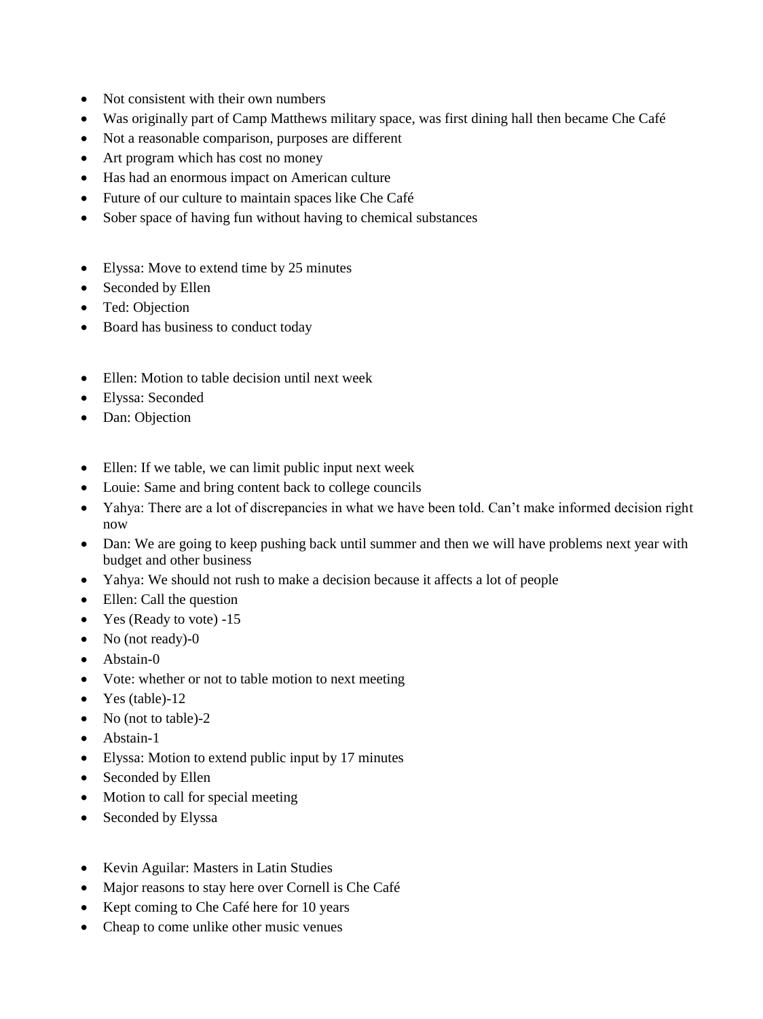- Not consistent with their own numbers
- Was originally part of Camp Matthews military space, was first dining hall then became Che Café
- Not a reasonable comparison, purposes are different
- Art program which has cost no money
- Has had an enormous impact on American culture
- Future of our culture to maintain spaces like Che Café
- Sober space of having fun without having to chemical substances
- Elyssa: Move to extend time by 25 minutes
- Seconded by Ellen
- Ted: Objection
- Board has business to conduct today
- Ellen: Motion to table decision until next week
- Elyssa: Seconded
- Dan: Objection
- Ellen: If we table, we can limit public input next week
- Louie: Same and bring content back to college councils
- Yahya: There are a lot of discrepancies in what we have been told. Can't make informed decision right now
- Dan: We are going to keep pushing back until summer and then we will have problems next year with budget and other business
- Yahya: We should not rush to make a decision because it affects a lot of people
- Ellen: Call the question
- Yes (Ready to vote) -15
- No (not ready)-0
- Abstain-0
- Vote: whether or not to table motion to next meeting
- $\bullet$  Yes (table)-12
- No (not to table)-2
- Abstain-1
- Elyssa: Motion to extend public input by 17 minutes
- Seconded by Ellen
- Motion to call for special meeting
- Seconded by Elyssa
- Kevin Aguilar: Masters in Latin Studies
- Major reasons to stay here over Cornell is Che Café
- Kept coming to Che Café here for 10 years
- Cheap to come unlike other music venues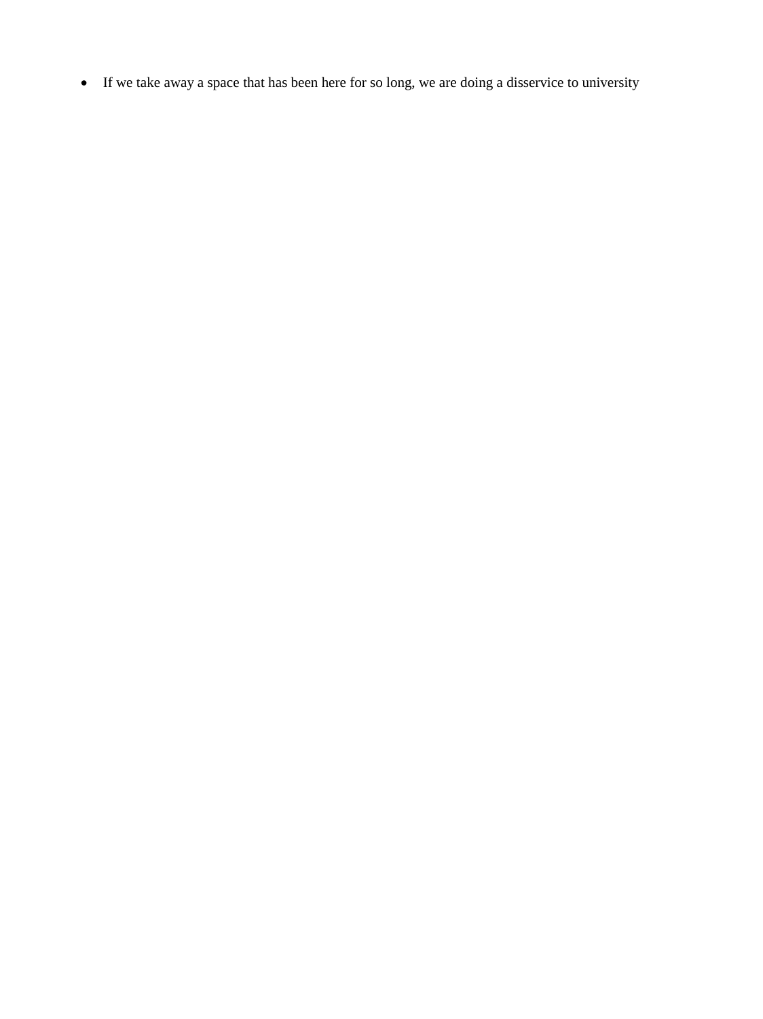If we take away a space that has been here for so long, we are doing a disservice to university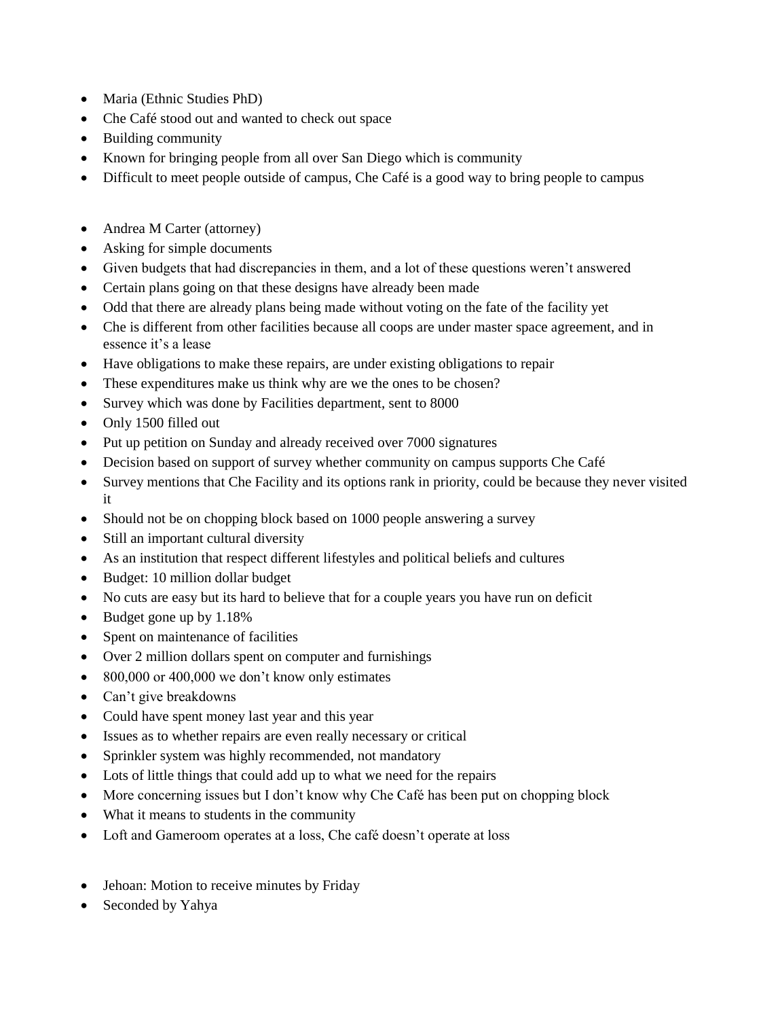- Maria (Ethnic Studies PhD)
- Che Café stood out and wanted to check out space
- Building community
- Known for bringing people from all over San Diego which is community
- Difficult to meet people outside of campus, Che Café is a good way to bring people to campus
- Andrea M Carter (attorney)
- Asking for simple documents
- Given budgets that had discrepancies in them, and a lot of these questions weren't answered
- Certain plans going on that these designs have already been made
- Odd that there are already plans being made without voting on the fate of the facility yet
- Che is different from other facilities because all coops are under master space agreement, and in essence it's a lease
- Have obligations to make these repairs, are under existing obligations to repair
- These expenditures make us think why are we the ones to be chosen?
- Survey which was done by Facilities department, sent to 8000
- Only 1500 filled out
- Put up petition on Sunday and already received over 7000 signatures
- Decision based on support of survey whether community on campus supports Che Café
- Survey mentions that Che Facility and its options rank in priority, could be because they never visited it
- Should not be on chopping block based on 1000 people answering a survey
- Still an important cultural diversity
- As an institution that respect different lifestyles and political beliefs and cultures
- Budget: 10 million dollar budget
- No cuts are easy but its hard to believe that for a couple years you have run on deficit
- $\bullet$  Budget gone up by 1.18%
- Spent on maintenance of facilities
- Over 2 million dollars spent on computer and furnishings
- 800,000 or 400,000 we don't know only estimates
- Can't give breakdowns
- Could have spent money last year and this year
- Issues as to whether repairs are even really necessary or critical
- Sprinkler system was highly recommended, not mandatory
- Lots of little things that could add up to what we need for the repairs
- More concerning issues but I don't know why Che Café has been put on chopping block
- What it means to students in the community
- Loft and Gameroom operates at a loss, Che café doesn't operate at loss
- Jehoan: Motion to receive minutes by Friday
- Seconded by Yahya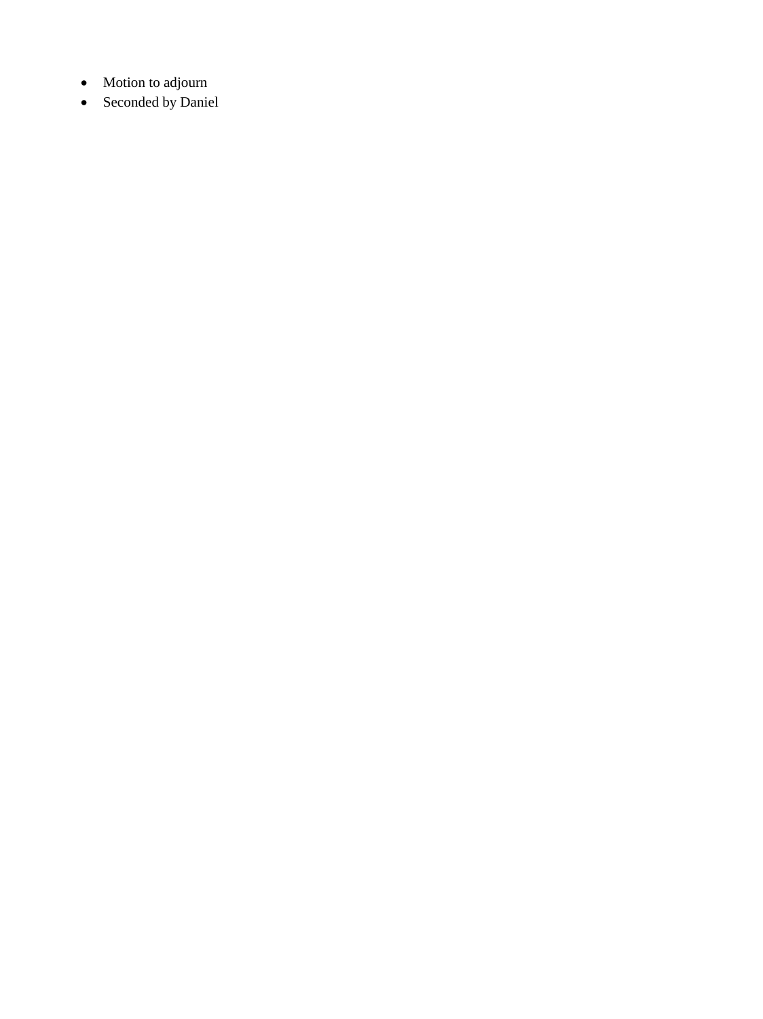- Motion to adjourn
- Seconded by Daniel